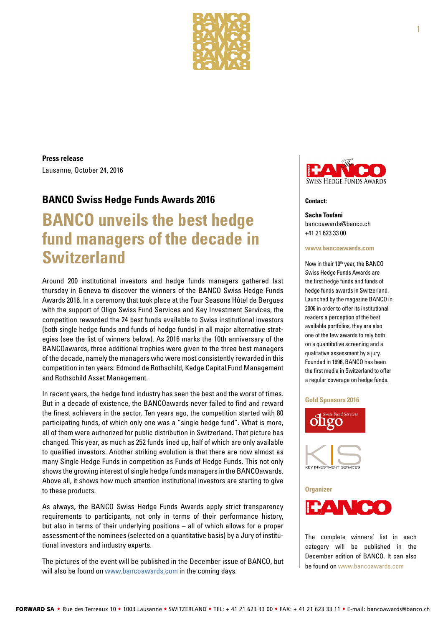

**Press release** Lausanne, October 24, 2016

# **BANCO Swiss Hedge Funds Awards 2016**

# **BANCO unveils the best hedge fund managers of the decade in Switzerland**

Around 200 institutional investors and hedge funds managers gathered last thursday in Geneva to discover the winners of the BANCO Swiss Hedge Funds Awards 2016. In a ceremony that took place at the Four Seasons Hôtel de Bergues with the support of Oligo Swiss Fund Services and Key Investment Services, the competition rewarded the 24 best funds available to Swiss institutional investors (both single hedge funds and funds of hedge funds) in all major alternative strategies (see the list of winners below). As 2016 marks the 10th anniversary of the BANCOawards, three additional trophies were given to the three best managers of the decade, namely the managers who were most consistently rewarded in this competition in ten years: Edmond de Rothschild, Kedge Capital Fund Management and Rothschild Asset Management.

In recent years, the hedge fund industry has seen the best and the worst of times. But in a decade of existence, the BANCOawards never failed to find and reward the finest achievers in the sector. Ten years ago, the competition started with 80 participating funds, of which only one was a "single hedge fund". What is more, all of them were authorized for public distribution in Switzerland. That picture has changed. This year, as much as 252 funds lined up, half of which are only available to qualified investors. Another striking evolution is that there are now almost as many Single Hedge Funds in competition as Funds of Hedge Funds. This not only shows the growing interest of single hedge funds managers in the BANCOawards. Above all, it shows how much attention institutional investors are starting to give to these products.

As always, the BANCO Swiss Hedge Funds Awards apply strict transparency requirements to participants, not only in terms of their performance history, but also in terms of their underlying positions – all of which allows for a proper assessment of the nominees (selected on a quantitative basis) by a Jury of institutional investors and industry experts.

The pictures of the event will be published in the December issue of BANCO, but will also be found on www.bancoawards.com in the coming days.



#### **Contact:**

**Sacha Toufani**  [bancoawards@banco.ch](mailto:bancoawards@banco.ch) +41 21 623 33 00

#### **[www.bancoawards.com](http://www.bancoawards.com)**

Now in their 10<sup>th</sup> year, the BANCO Swiss Hedge Funds Awards are the first hedge funds and funds of hedge funds awards in Switzerland. Launched by the magazine BANCO in 2006 in order to offer its institutional readers a perception of the best available portfolios, they are also one of the few awards to rely both on a quantitative screening and a qualitative assessment by a jury. Founded in 1996, BANCO has been the first media in Switzerland to offer a regular coverage on hedge funds.

#### **Gold Sponsors 2016**





The complete winners' list in each category will be published in the December edition of BANCO. It can also be found on www.bancoawards.com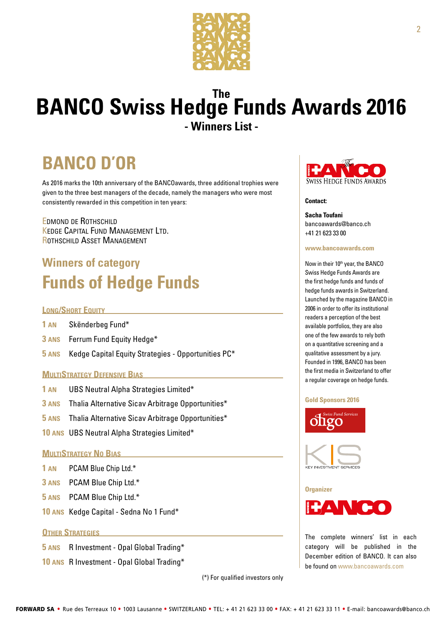

# **The BANCO Swiss Hedge Funds Awards 2016 - Winners List -**

# **BANCO D'OR**

As 2016 marks the 10th anniversary of the BANCOawards, three additional trophies were given to the three best managers of the decade, namely the managers who were most consistently rewarded in this competition in ten years:

Edmond de Rothschild Kedge Capital Fund Management Ltd. Rothschild Asset Management

# **Winners of category Funds of Hedge Funds**

# **LONG/SHORT EQUITY**

- **1 an** Skënderbeg Fund\*
- **3 ans** Ferrum Fund Equity Hedge\*
- **5 ans** Kedge Capital Equity Strategies Opportunities PC\*

# **MULTISTRATEGY DEFENSIVE BIAS**

- **1 an** UBS Neutral Alpha Strategies Limited\*
- **3 ans** Thalia Alternative Sicav Arbitrage Opportunities\*
- **5 ans** Thalia Alternative Sicav Arbitrage Opportunities\*
- **10 ans** UBS Neutral Alpha Strategies Limited\*

# **MultiStrategy No Bias**

- **1 an** PCAM Blue Chip Ltd.\*
- **3 ans** PCAM Blue Chip Ltd.\*
- **5 ans** PCAM Blue Chip Ltd.\*
- **10 ans** Kedge Capital Sedna No 1 Fund\*

# **OTHER STRATEGIES**

- **5 ans** R Investment Opal Global Trading\*
- **10 ans** R Investment Opal Global Trading\*

(\*) For qualified investors only



## **Contact:**

**Sacha Toufani**  [bancoawards@banco.ch](mailto:bancoawards@banco.ch) +41 21 623 33 00

#### **[www.bancoawards.com](http://www.bancoawards.com)**

Now in their 10<sup>th</sup> year, the BANCO Swiss Hedge Funds Awards are the first hedge funds and funds of hedge funds awards in Switzerland. Launched by the magazine BANCO in 2006 in order to offer its institutional readers a perception of the best available portfolios, they are also one of the few awards to rely both on a quantitative screening and a qualitative assessment by a jury. Founded in 1996, BANCO has been the first media in Switzerland to offer a regular coverage on hedge funds.

#### **Gold Sponsors 2016**







The complete winners' list in each category will be published in the December edition of BANCO. It can also be found on www.bancoawards.com